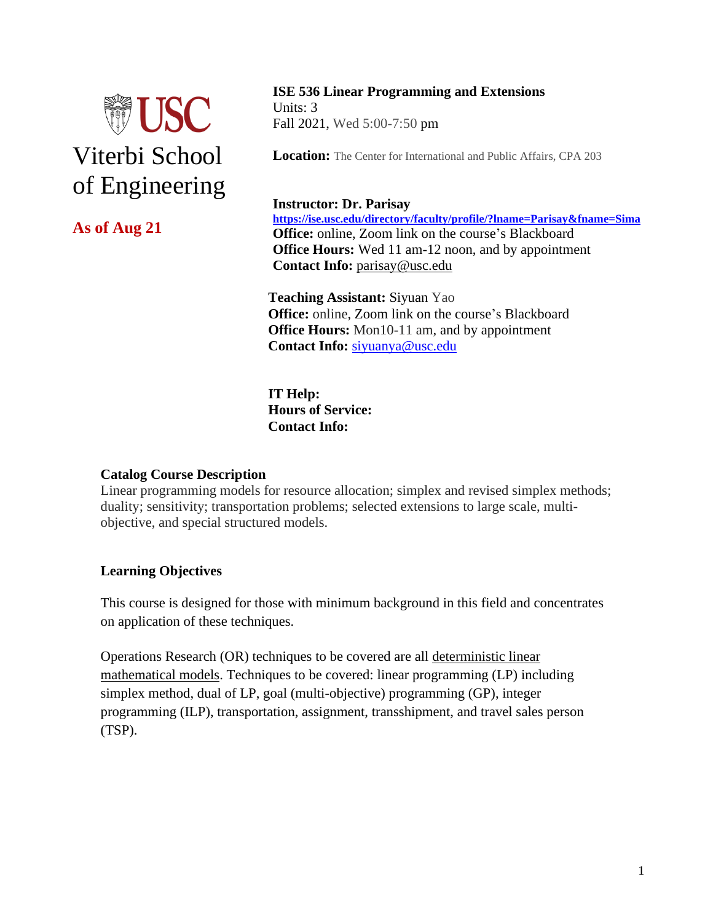

# **As of Aug 21**

# **ISE 536 Linear Programming and Extensions**

Units: 3 Fall 2021, Wed 5:00-7:50 pm

**Location:** The Center for International and Public Affairs, CPA 203

#### **Instructor: Dr. Parisay**

**<https://ise.usc.edu/directory/faculty/profile/?lname=Parisay&fname=Sima> Office:** online, Zoom link on the course's Blackboard **Office Hours:** Wed 11 am-12 noon, and by appointment **Contact Info:** [parisay@usc.edu](mailto:parisay@usc.edu) 

**Teaching Assistant:** Siyuan Yao **Office:** online, Zoom link on the course's Blackboard **Office Hours:** Mon10-11 am, and by appointment **Contact Info:** [siyuanya@usc.edu](mailto:siyuanya@usc.edu)

**IT Help: Hours of Service: Contact Info:** 

#### **Catalog Course Description**

Linear programming models for resource allocation; simplex and revised simplex methods; duality; sensitivity; transportation problems; selected extensions to large scale, multiobjective, and special structured models.

## **Learning Objectives**

This course is designed for those with minimum background in this field and concentrates on application of these techniques.

Operations Research (OR) techniques to be covered are all deterministic linear mathematical models. Techniques to be covered: linear programming (LP) including simplex method, dual of LP, goal (multi-objective) programming (GP), integer programming (ILP), transportation, assignment, transshipment, and travel sales person (TSP).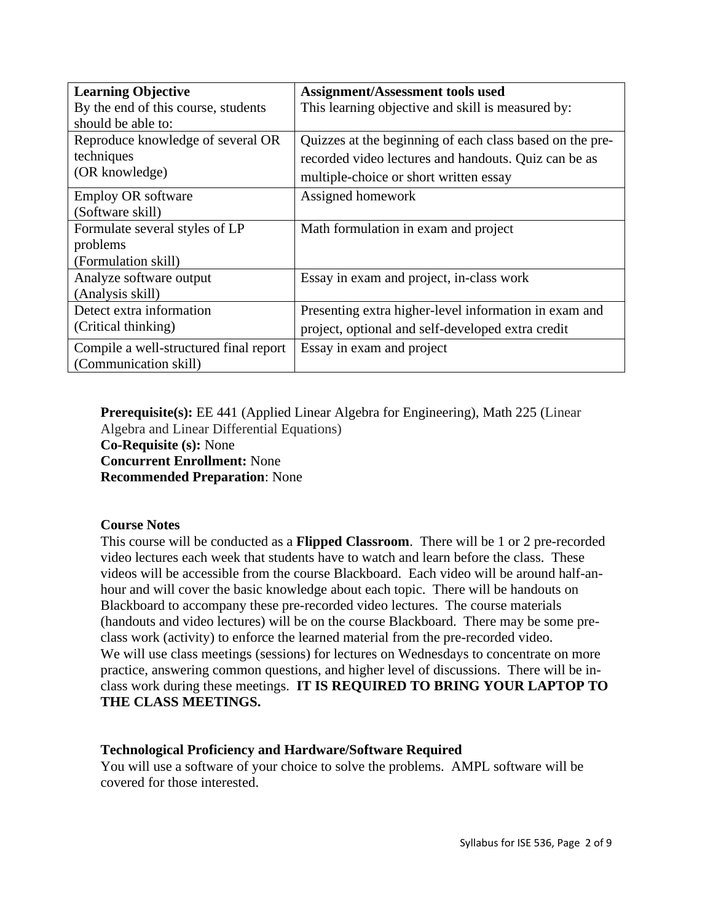| <b>Learning Objective</b>              | Assignment/Assessment tools used                         |
|----------------------------------------|----------------------------------------------------------|
| By the end of this course, students    | This learning objective and skill is measured by:        |
| should be able to:                     |                                                          |
| Reproduce knowledge of several OR      | Quizzes at the beginning of each class based on the pre- |
| techniques                             | recorded video lectures and handouts. Quiz can be as     |
| (OR knowledge)                         | multiple-choice or short written essay                   |
| Employ OR software                     | Assigned homework                                        |
| (Software skill)                       |                                                          |
| Formulate several styles of LP         | Math formulation in exam and project                     |
| problems                               |                                                          |
| (Formulation skill)                    |                                                          |
| Analyze software output                | Essay in exam and project, in-class work                 |
| (Analysis skill)                       |                                                          |
| Detect extra information               | Presenting extra higher-level information in exam and    |
| (Critical thinking)                    | project, optional and self-developed extra credit        |
| Compile a well-structured final report | Essay in exam and project                                |
| (Communication skill)                  |                                                          |

**Prerequisite(s):** EE 441 (Applied Linear Algebra for Engineering), Math 225 (Linear Algebra and Linear Differential Equations) **Co-Requisite (s):** None **Concurrent Enrollment:** None **Recommended Preparation**: None

#### **Course Notes**

This course will be conducted as a **Flipped Classroom**. There will be 1 or 2 pre-recorded video lectures each week that students have to watch and learn before the class. These videos will be accessible from the course Blackboard. Each video will be around half-anhour and will cover the basic knowledge about each topic. There will be handouts on Blackboard to accompany these pre-recorded video lectures. The course materials (handouts and video lectures) will be on the course Blackboard. There may be some preclass work (activity) to enforce the learned material from the pre-recorded video. We will use class meetings (sessions) for lectures on Wednesdays to concentrate on more practice, answering common questions, and higher level of discussions. There will be inclass work during these meetings. **IT IS REQUIRED TO BRING YOUR LAPTOP TO THE CLASS MEETINGS.**

#### **Technological Proficiency and Hardware/Software Required**

You will use a software of your choice to solve the problems. AMPL software will be covered for those interested.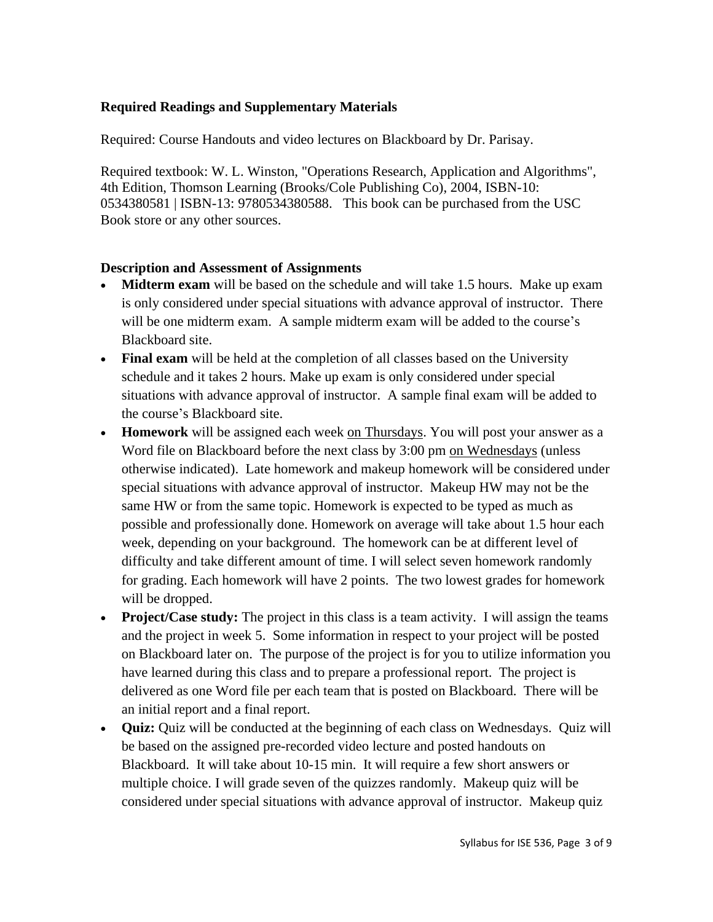## **Required Readings and Supplementary Materials**

Required: Course Handouts and video lectures on Blackboard by Dr. Parisay.

Required textbook: W. L. Winston, "Operations Research, Application and Algorithms", 4th Edition, Thomson Learning (Brooks/Cole Publishing Co), 2004, ISBN-10: 0534380581 | ISBN-13: 9780534380588. This book can be purchased from the USC Book store or any other sources.

## **Description and Assessment of Assignments**

- **Midterm exam** will be based on the schedule and will take 1.5 hours. Make up exam is only considered under special situations with advance approval of instructor.There will be one midterm exam. A sample midterm exam will be added to the course's Blackboard site.
- **Final exam** will be held at the completion of all classes based on the University schedule and it takes 2 hours. Make up exam is only considered under special situations with advance approval of instructor.A sample final exam will be added to the course's Blackboard site.
- **Homework** will be assigned each week on Thursdays. You will post your answer as a Word file on Blackboard before the next class by 3:00 pm on Wednesdays (unless otherwise indicated). Late homework and makeup homework will be considered under special situations with advance approval of instructor.Makeup HW may not be the same HW or from the same topic. Homework is expected to be typed as much as possible and professionally done. Homework on average will take about 1.5 hour each week, depending on your background. The homework can be at different level of difficulty and take different amount of time. I will select seven homework randomly for grading. Each homework will have 2 points. The two lowest grades for homework will be dropped.
- **Project/Case study:** The project in this class is a team activity. I will assign the teams and the project in week 5. Some information in respect to your project will be posted on Blackboard later on. The purpose of the project is for you to utilize information you have learned during this class and to prepare a professional report. The project is delivered as one Word file per each team that is posted on Blackboard. There will be an initial report and a final report.
- **Quiz:** Quiz will be conducted at the beginning of each class on Wednesdays. Quiz will be based on the assigned pre-recorded video lecture and posted handouts on Blackboard. It will take about 10-15 min. It will require a few short answers or multiple choice. I will grade seven of the quizzes randomly. Makeup quiz will be considered under special situations with advance approval of instructor. Makeup quiz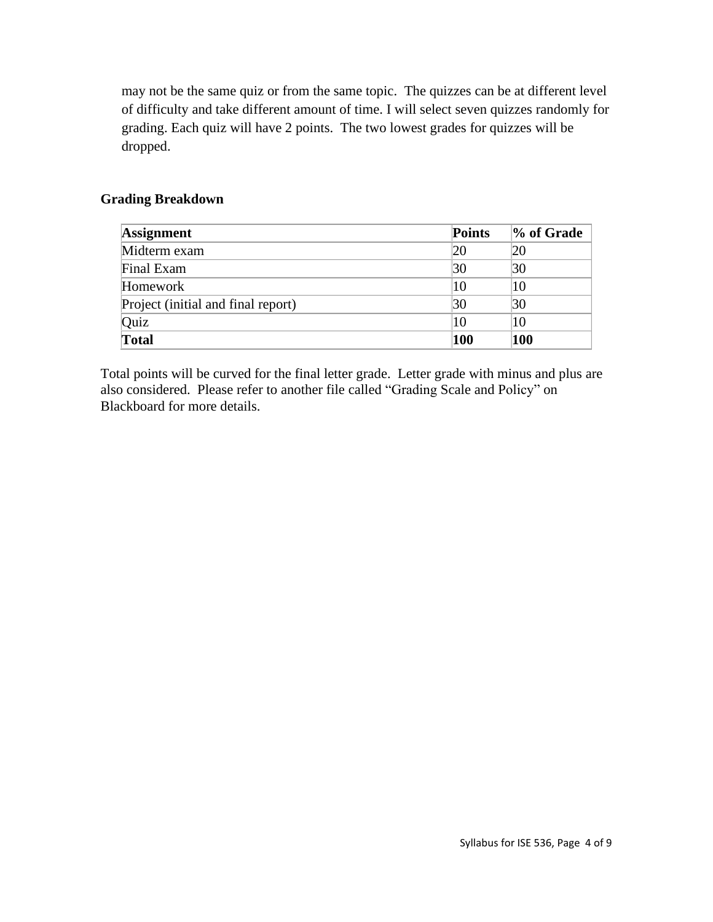may not be the same quiz or from the same topic. The quizzes can be at different level of difficulty and take different amount of time. I will select seven quizzes randomly for grading. Each quiz will have 2 points. The two lowest grades for quizzes will be dropped.

#### **Grading Breakdown**

| <b>Assignment</b>                  | <b>Points</b> | % of Grade |
|------------------------------------|---------------|------------|
| Midterm exam                       | 20            | 20         |
| Final Exam                         | 30            | 30         |
| Homework                           | 10            | 10         |
| Project (initial and final report) | 30            | 30         |
| Quiz                               | 10            | 10         |
| <b>Total</b>                       | 100           | 100        |

Total points will be curved for the final letter grade. Letter grade with minus and plus are also considered. Please refer to another file called "Grading Scale and Policy" on Blackboard for more details.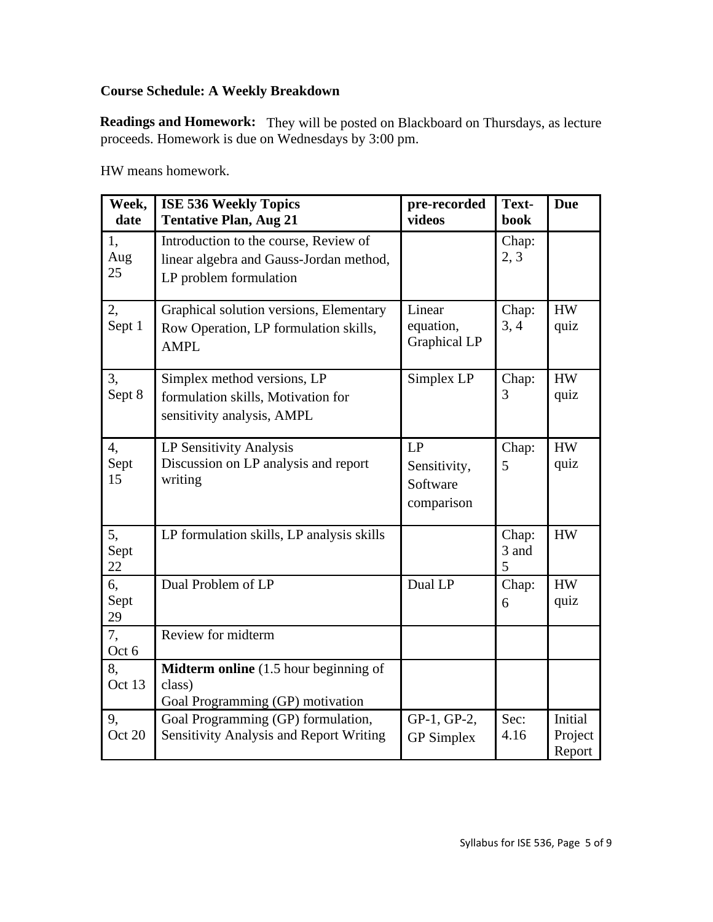## **Course Schedule: A Weekly Breakdown**

Readings and Homework: They will be posted on Blackboard on Thursdays, as lecture proceeds. Homework is due on Wednesdays by 3:00 pm.

| Week,<br>date    | <b>ISE 536 Weekly Topics</b><br><b>Tentative Plan, Aug 21</b>                                              | pre-recorded<br>videos                       | Text-<br>book       | <b>Due</b>                   |
|------------------|------------------------------------------------------------------------------------------------------------|----------------------------------------------|---------------------|------------------------------|
| 1,<br>Aug<br>25  | Introduction to the course, Review of<br>linear algebra and Gauss-Jordan method,<br>LP problem formulation |                                              | Chap:<br>2, 3       |                              |
| 2,<br>Sept 1     | Graphical solution versions, Elementary<br>Row Operation, LP formulation skills,<br><b>AMPL</b>            | Linear<br>equation,<br><b>Graphical LP</b>   | Chap:<br>3, 4       | <b>HW</b><br>quiz            |
| 3,<br>Sept 8     | Simplex method versions, LP<br>formulation skills, Motivation for<br>sensitivity analysis, AMPL            | Simplex LP                                   | Chap:<br>3          | <b>HW</b><br>quiz            |
| 4,<br>Sept<br>15 | LP Sensitivity Analysis<br>Discussion on LP analysis and report<br>writing                                 | LP<br>Sensitivity,<br>Software<br>comparison | Chap:<br>5          | <b>HW</b><br>quiz            |
| 5,<br>Sept<br>22 | LP formulation skills, LP analysis skills                                                                  |                                              | Chap:<br>3 and<br>5 | <b>HW</b>                    |
| 6,<br>Sept<br>29 | Dual Problem of LP                                                                                         | Dual LP                                      | Chap:<br>6          | <b>HW</b><br>quiz            |
| 7,<br>Oct 6      | Review for midterm                                                                                         |                                              |                     |                              |
| 8,<br>Oct 13     | Midterm online (1.5 hour beginning of<br>class)<br>Goal Programming (GP) motivation                        |                                              |                     |                              |
| 9,<br>Oct 20     | Goal Programming (GP) formulation,<br>Sensitivity Analysis and Report Writing                              | GP-1, GP-2,<br><b>GP</b> Simplex             | Sec:<br>4.16        | Initial<br>Project<br>Report |

HW means homework.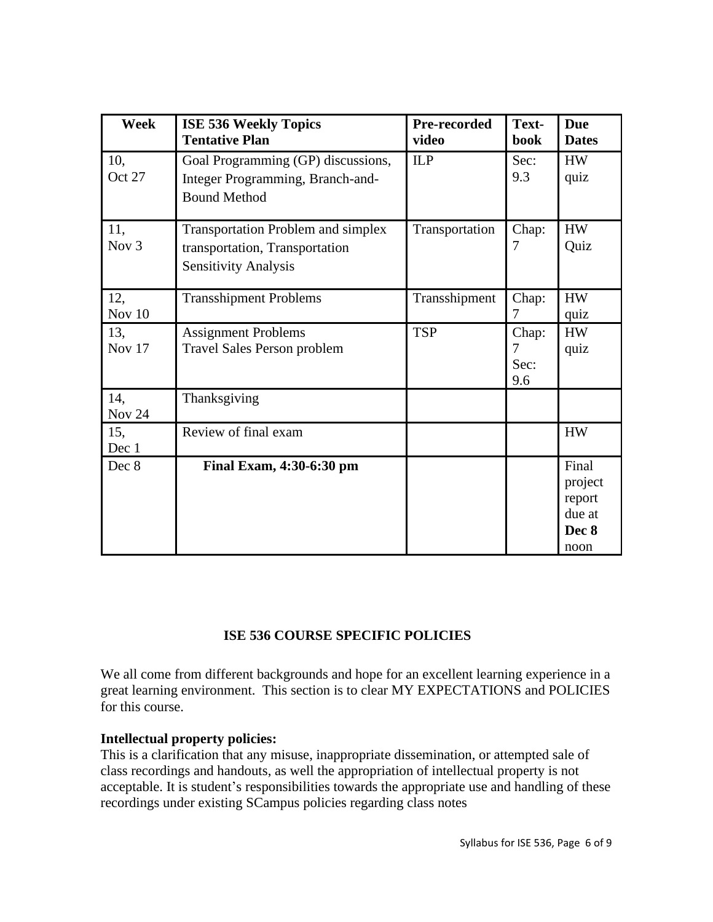| Week                    | <b>ISE 536 Weekly Topics</b><br><b>Tentative Plan</b>                                                      | Pre-recorded<br>video | Text-<br><b>book</b>      | <b>Due</b><br><b>Dates</b>                            |
|-------------------------|------------------------------------------------------------------------------------------------------------|-----------------------|---------------------------|-------------------------------------------------------|
| 10,<br>Oct 27           | Goal Programming (GP) discussions,<br>Integer Programming, Branch-and-<br><b>Bound Method</b>              | <b>ILP</b>            | Sec:<br>9.3               | <b>HW</b><br>quiz                                     |
| 11,<br>Nov <sub>3</sub> | <b>Transportation Problem and simplex</b><br>transportation, Transportation<br><b>Sensitivity Analysis</b> | Transportation        | Chap:<br>7                | <b>HW</b><br>Quiz                                     |
| 12,<br>Nov 10           | <b>Transshipment Problems</b>                                                                              | Transshipment         | Chap:<br>7                | <b>HW</b><br>quiz                                     |
| 13,<br><b>Nov 17</b>    | <b>Assignment Problems</b><br><b>Travel Sales Person problem</b>                                           | <b>TSP</b>            | Chap:<br>7<br>Sec:<br>9.6 | <b>HW</b><br>quiz                                     |
| 14,<br><b>Nov 24</b>    | Thanksgiving                                                                                               |                       |                           |                                                       |
| 15,<br>Dec 1            | Review of final exam                                                                                       |                       |                           | <b>HW</b>                                             |
| Dec 8                   | Final Exam, 4:30-6:30 pm                                                                                   |                       |                           | Final<br>project<br>report<br>due at<br>Dec 8<br>noon |

## **ISE 536 COURSE SPECIFIC POLICIES**

We all come from different backgrounds and hope for an excellent learning experience in a great learning environment. This section is to clear MY EXPECTATIONS and POLICIES for this course.

#### **Intellectual property policies:**

This is a clarification that any misuse, inappropriate dissemination, or attempted sale of class recordings and handouts, as well the appropriation of intellectual property is not acceptable. It is student's responsibilities towards the appropriate use and handling of these recordings under existing SCampus policies regarding class notes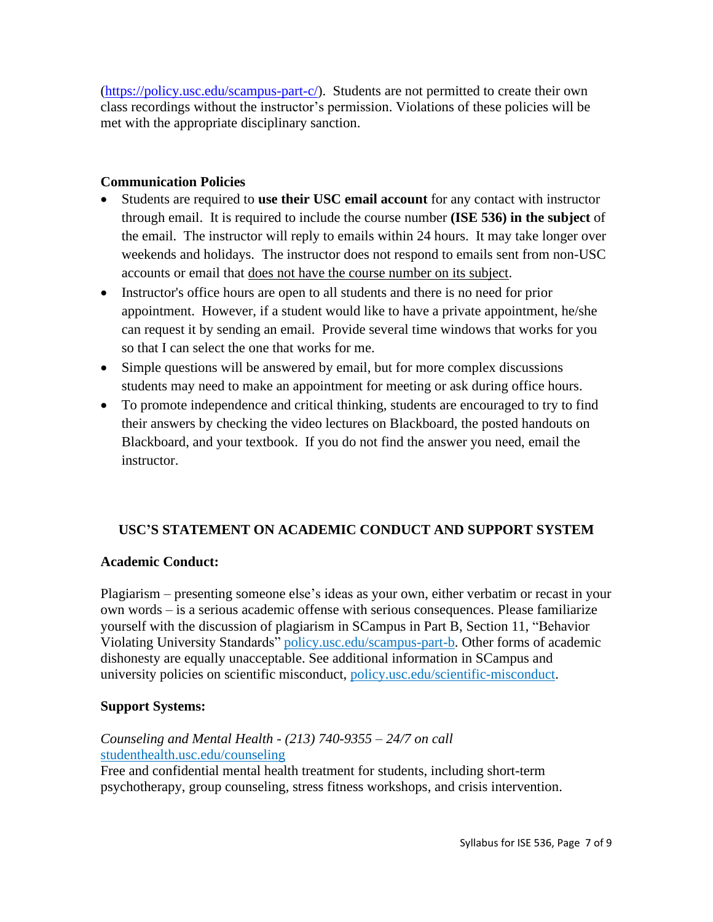[\(https://policy.usc.edu/scampus-part-c/\)](http://click.comms.usc.edu/?qs=c79d21e58ec0c03885ec166777b22a90d6608763dd0675e477f2ffa290f566a46e15ebbbc40157240e53c6d39642df4a094fcc304fee2765). Students are not permitted to create their own class recordings without the instructor's permission. Violations of these policies will be met with the appropriate disciplinary sanction.

## **Communication Policies**

- Students are required to **use their USC email account** for any contact with instructor through email. It is required to include the course number **(ISE 536) in the subject** of the email. The instructor will reply to emails within 24 hours. It may take longer over weekends and holidays. The instructor does not respond to emails sent from non-USC accounts or email that does not have the course number on its subject.
- Instructor's office hours are open to all students and there is no need for prior appointment. However, if a student would like to have a private appointment, he/she can request it by sending an email. Provide several time windows that works for you so that I can select the one that works for me.
- Simple questions will be answered by email, but for more complex discussions students may need to make an appointment for meeting or ask during office hours.
- To promote independence and critical thinking, students are encouraged to try to find their answers by checking the video lectures on Blackboard, the posted handouts on Blackboard, and your textbook. If you do not find the answer you need, email the instructor.

## **USC'S STATEMENT ON ACADEMIC CONDUCT AND SUPPORT SYSTEM**

## **Academic Conduct:**

Plagiarism – presenting someone else's ideas as your own, either verbatim or recast in your own words – is a serious academic offense with serious consequences. Please familiarize yourself with the discussion of plagiarism in SCampus in Part B, Section 11, "Behavior Violating University Standards" [policy.usc.edu/scampus-part-b.](https://policy.usc.edu/scampus-part-b/) Other forms of academic dishonesty are equally unacceptable. See additional information in SCampus and university policies on scientific misconduct, [policy.usc.edu/scientific-misconduct.](http://policy.usc.edu/scientific-misconduct)

## **Support Systems:**

# *Counseling and Mental Health - (213) 740-9355 – 24/7 on call* [studenthealth.usc.edu/counseling](https://studenthealth.usc.edu/counseling/)

Free and confidential mental health treatment for students, including short-term [ps](https://engemannshc.usc.edu/counseling/)ychotherapy, group counseling, stress fitness workshops, and crisis intervention.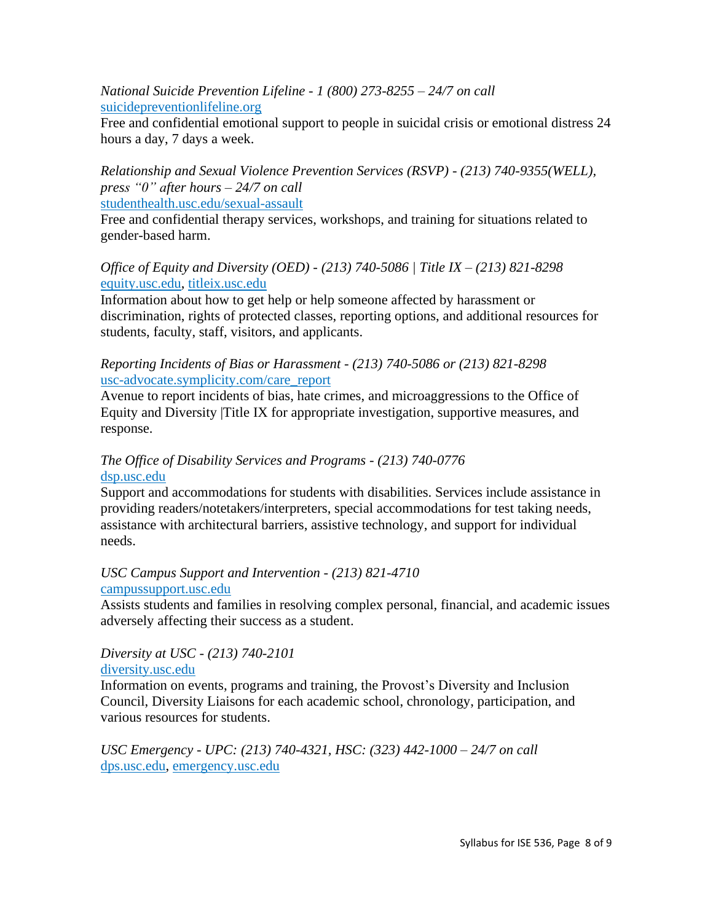*National Suicide Prevention Lifeline - 1 (800) 273-8255 – 24/7 on call* [suicidepreventionlifeline.org](http://www.suicidepreventionlifeline.org/)

Free and confidential emotional support to people in suicidal crisis or emotional distress 24 hours a day, 7 days a week.

*Relationship and Sexual Violence Prevention Services (RSVP) - (213) 740-9355(WELL), press "0" after hours – 24/7 on call* [studenthealth.usc.edu/sexual-assault](https://studenthealth.usc.edu/sexual-assault/)

Free and confidential therapy services, workshops, and training for situations related to gender-based harm[.](https://engemannshc.usc.edu/rsvp/)

*Office of Equity and Diversity (OED) - (213) 740-5086 | Title IX – (213) 821-8298* [equity.usc.edu,](https://equity.usc.edu/) [titleix.usc.edu](http://titleix.usc.edu/)

Information about how to get help or help someone affected by harassment or discrimination, rights of protected classes, reporting options, and additional resources for students, faculty, staff, visitors, and applicants.

*Reporting Incidents of Bias or Harassment - (213) 740-5086 or (213) 821-8298* [usc-advocate.symplicity.com/care\\_report](https://usc-advocate.symplicity.com/care_report/)

Avenue to report incidents of bias, hate crimes, and microaggressions to the Office of Equity and Diversity |Title IX for appropriate investigation, supportive measures, and response[.](https://studentaffairs.usc.edu/bias-assessment-response-support/)

#### *The Office of Disability Services and Programs - (213) 740-0776* [dsp.usc.edu](http://dsp.usc.edu/)

Support and accommodations for students with disabilities. Services include assistance in providing readers/notetakers/interpreters, special accommodations for test taking needs, assistance with architectural barriers, assistive technology, and support for individual needs.

#### *USC Campus Support and Intervention - (213) 821-4710* [campussupport.usc.edu](https://campussupport.usc.edu/)

Assists students and families in resolving complex personal, financial, and academic issues adversely affecting their success as a student.

*Diversity at USC - (213) 740-2101*

## [diversity.usc.edu](https://diversity.usc.edu/)

Information on events, programs and training, the Provost's Diversity and Inclusion Council, Diversity Liaisons for each academic school, chronology, participation, and various resources for students.

*USC Emergency - UPC: (213) 740-4321, HSC: (323) 442-1000 – 24/7 on call*  [dps.usc.edu,](http://dps.usc.edu/) [emergency.usc.edu](http://emergency.usc.edu/)